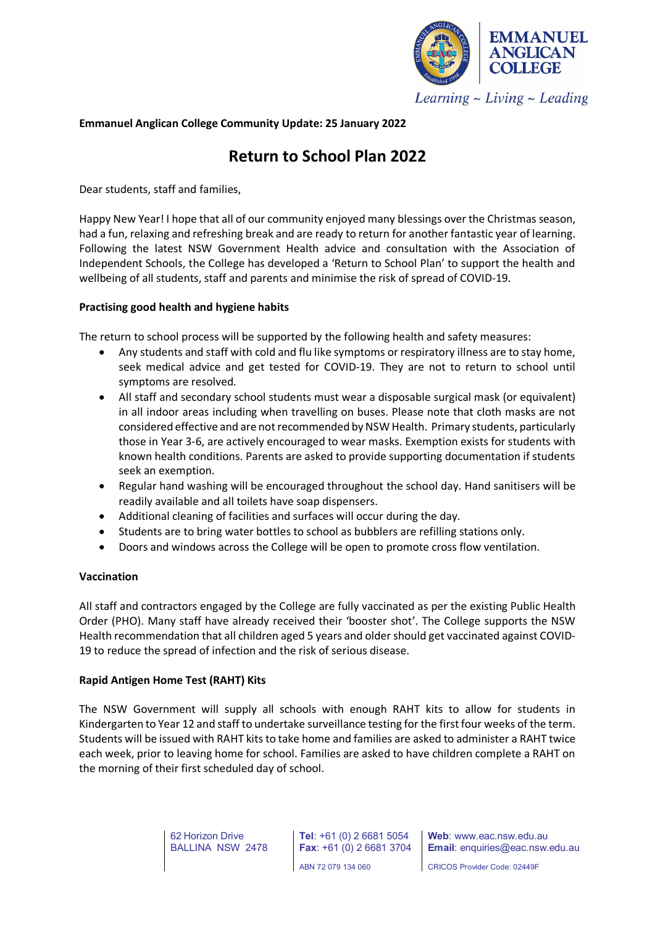

# **Emmanuel Anglican College Community Update: 25 January 2022**

# **Return to School Plan 2022**

Dear students, staff and families,

Happy New Year! I hope that all of our community enjoyed many blessings over the Christmas season, had a fun, relaxing and refreshing break and are ready to return for another fantastic year of learning. Following the latest NSW Government Health advice and consultation with the Association of Independent Schools, the College has developed a 'Return to School Plan' to support the health and wellbeing of all students, staff and parents and minimise the risk of spread of COVID-19.

## **Practising good health and hygiene habits**

The return to school process will be supported by the following health and safety measures:

- Any students and staff with cold and flu like symptoms or respiratory illness are to stay home, seek medical advice and get tested for COVID-19. They are not to return to school until symptoms are resolved.
- All staff and secondary school students must wear a disposable surgical mask (or equivalent) in all indoor areas including when travelling on buses. Please note that cloth masks are not considered effective and are not recommended by NSW Health. Primary students, particularly those in Year 3-6, are actively encouraged to wear masks. Exemption exists for students with known health conditions. Parents are asked to provide supporting documentation if students seek an exemption.
- Regular hand washing will be encouraged throughout the school day. Hand sanitisers will be readily available and all toilets have soap dispensers.
- Additional cleaning of facilities and surfaces will occur during the day.
- Students are to bring water bottles to school as bubblers are refilling stations only.
- Doors and windows across the College will be open to promote cross flow ventilation.

## **Vaccination**

All staff and contractors engaged by the College are fully vaccinated as per the existing Public Health Order (PHO). Many staff have already received their 'booster shot'. The College supports the NSW Health recommendation that all children aged 5 years and older should get vaccinated against COVID-19 to reduce the spread of infection and the risk of serious disease.

# **Rapid Antigen Home Test (RAHT) Kits**

The NSW Government will supply all schools with enough RAHT kits to allow for students in Kindergarten to Year 12 and staff to undertake surveillance testing for the first four weeks of the term. Students will be issued with RAHT kits to take home and families are asked to administer a RAHT twice each week, prior to leaving home for school. Families are asked to have children complete a RAHT on the morning of their first scheduled day of school.

> 62 Horizon Drive BALLINA NSW 2478

**Tel**: +61 (0) 2 6681 5054 **Fax**: +61 (0) 2 6681 3704 ABN 72 079 134 060

**Web**: www.eac.nsw.edu.au **Email**: enquiries@eac.nsw.edu.au

CRICOS Provider Code: 02449F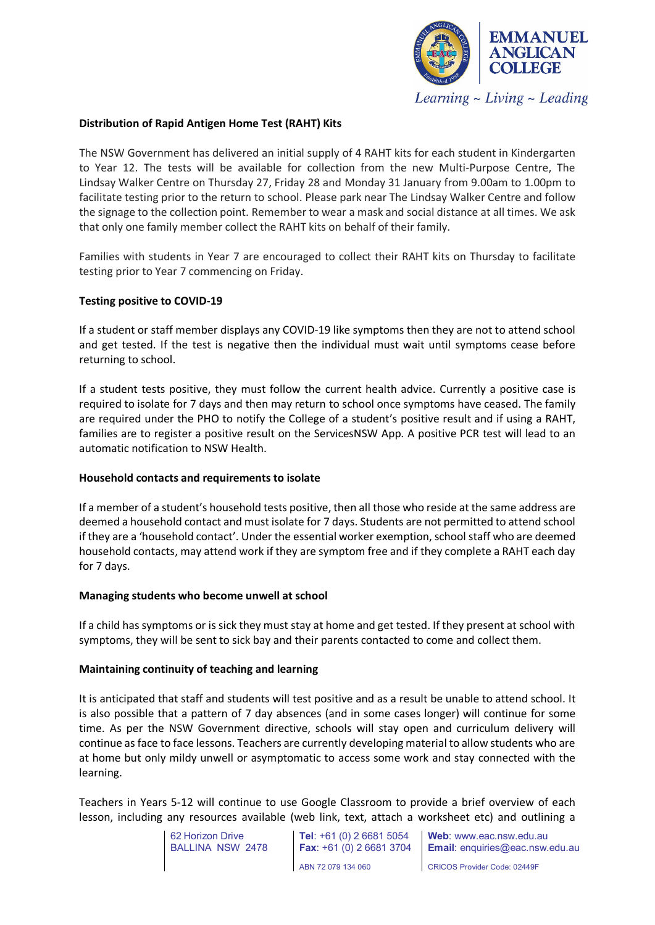

### **Distribution of Rapid Antigen Home Test (RAHT) Kits**

The NSW Government has delivered an initial supply of 4 RAHT kits for each student in Kindergarten to Year 12. The tests will be available for collection from the new Multi-Purpose Centre, The Lindsay Walker Centre on Thursday 27, Friday 28 and Monday 31 January from 9.00am to 1.00pm to facilitate testing prior to the return to school. Please park near The Lindsay Walker Centre and follow the signage to the collection point. Remember to wear a mask and social distance at all times. We ask that only one family member collect the RAHT kits on behalf of their family.

Families with students in Year 7 are encouraged to collect their RAHT kits on Thursday to facilitate testing prior to Year 7 commencing on Friday.

#### **Testing positive to COVID-19**

If a student or staff member displays any COVID-19 like symptoms then they are not to attend school and get tested. If the test is negative then the individual must wait until symptoms cease before returning to school.

If a student tests positive, they must follow the current health advice. Currently a positive case is required to isolate for 7 days and then may return to school once symptoms have ceased. The family are required under the PHO to notify the College of a student's positive result and if using a RAHT, families are to register a positive result on the ServicesNSW App. A positive PCR test will lead to an automatic notification to NSW Health.

#### **Household contacts and requirements to isolate**

If a member of a student's household tests positive, then all those who reside at the same address are deemed a household contact and must isolate for 7 days. Students are not permitted to attend school if they are a 'household contact'. Under the essential worker exemption, school staff who are deemed household contacts, may attend work if they are symptom free and if they complete a RAHT each day for 7 days.

#### **Managing students who become unwell at school**

If a child has symptoms or is sick they must stay at home and get tested. If they present at school with symptoms, they will be sent to sick bay and their parents contacted to come and collect them.

#### **Maintaining continuity of teaching and learning**

It is anticipated that staff and students will test positive and as a result be unable to attend school. It is also possible that a pattern of 7 day absences (and in some cases longer) will continue for some time. As per the NSW Government directive, schools will stay open and curriculum delivery will continue as face to face lessons. Teachers are currently developing material to allow students who are at home but only mildy unwell or asymptomatic to access some work and stay connected with the learning.

Teachers in Years 5-12 will continue to use Google Classroom to provide a brief overview of each lesson, including any resources available (web link, text, attach a worksheet etc) and outlining a

> 62 Horizon Drive BALLINA NSW 2478

**Tel**: +61 (0) 2 6681 5054 **Fax**: +61 (0) 2 6681 3704 ABN 72 079 134 060

**Web**: www.eac.nsw.edu.au **Email**: enquiries@eac.nsw.edu.au

CRICOS Provider Code: 02449F